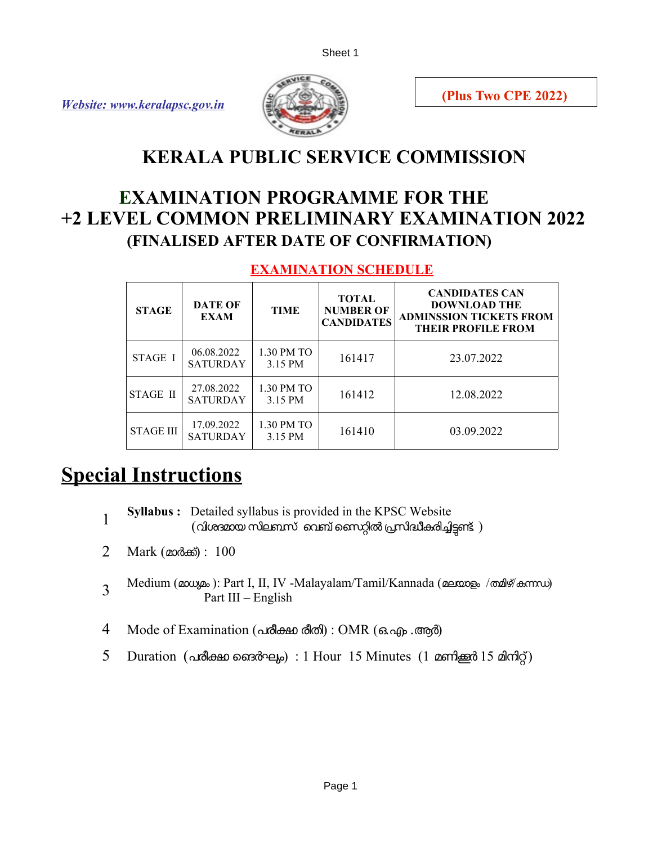*Website: [www.keralapsc.gov.in](http://www.keralapsc.gov.in/)*



# **KERALA PUBLIC SERVICE COMMISSION**

# **EXAMINATION PROGRAMME FOR THE +2 LEVEL COMMON PRELIMINARY EXAMINATION 2022 (FINALISED AFTER DATE OF CONFIRMATION)**

#### **EXAMINATION SCHEDULE**

| <b>STAGE</b>     | <b>DATE OF</b><br><b>EXAM</b> | <b>TIME</b>           | <b>TOTAL</b><br><b>NUMBER OF</b><br><b>CANDIDATES</b> | <b>CANDIDATES CAN</b><br><b>DOWNLOAD THE</b><br><b>ADMINSSION TICKETS FROM</b><br><b>THEIR PROFILE FROM</b> |
|------------------|-------------------------------|-----------------------|-------------------------------------------------------|-------------------------------------------------------------------------------------------------------------|
| STAGE I          | 06.08.2022<br><b>SATURDAY</b> | 1.30 PM TO<br>3.15 PM | 161417                                                | 23.07.2022                                                                                                  |
| STAGE II         | 27.08.2022<br><b>SATURDAY</b> | 1.30 PM TO<br>3.15 PM | 161412                                                | 12.08.2022                                                                                                  |
| <b>STAGE III</b> | 17.09.2022<br><b>SATURDAY</b> | 1.30 PM TO<br>3.15 PM | 161410                                                | 03.09.2022                                                                                                  |

# **Special Instructions**

- 1 **Syllabus :** Detailed syllabus is provided in the KPSC Website  $($ വിശദമായ സിലബസ് വെബ് സൈറ്റിൽ $($ സിദ്ധീകരിച്ചിട്ടണ്ട്  $)$
- 2 Mark (മാരക്) : 100
- 3 Medium (മാധ്യമം ): Part I, II, IV -Malayalam/Tamil/Kannada (മലയാളം /തമിഴ്/കന്നഡ) Part III – English
- 4 Mode of Examination (പരീക്ഷ രീതി) : OMR (ഒ.എം .ആർ)
- 5 Duration (പരീക്ഷ ജൈർഘം) : 1 Hour 15 Minutes (1 മണിക്കർ 15 മിനിറ്റ്)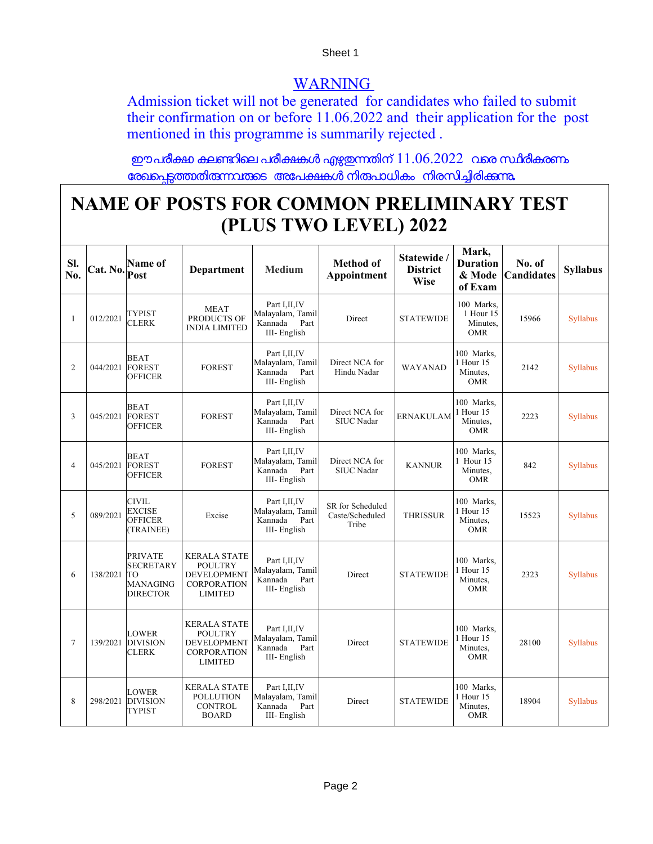### WARNING

Admission ticket will not be generated for candidates who failed to submit their confirmation on or before 11.06.2022 and their application for the post mentioned in this programme is summarily rejected .

ഈപരീക്ഷ കലണ്ടറിലെ പരീക്ഷകൾ എഴുഇന്നതിന്  $11.06.2022$  വരെ സ്ഥിരീകരണം േരഖെപടതാതിരനവരെടഅേപകകള നിരപാധികം നിരസിചിരികന**.**

# **NAME OF POSTS FOR COMMON PRELIMINARY TEST (PLUS TWO LEVEL) 2022**

| SI.<br>No.     | Cat. No.        | Name of<br>Post                                                                | <b>Department</b>                                                                                   | <b>Medium</b>                                                         | <b>Method of</b><br>Appointment              | Statewide /<br><b>District</b><br><b>Wise</b> | Mark,<br><b>Duration</b><br>& Mode<br>of Exam     | No. of<br><b>Candidates</b> | <b>Syllabus</b> |
|----------------|-----------------|--------------------------------------------------------------------------------|-----------------------------------------------------------------------------------------------------|-----------------------------------------------------------------------|----------------------------------------------|-----------------------------------------------|---------------------------------------------------|-----------------------------|-----------------|
| $\mathbf{1}$   | 012/2021        | <b>TYPIST</b><br><b>CLERK</b>                                                  | <b>MEAT</b><br>PRODUCTS OF<br><b>INDIA LIMITED</b>                                                  | Part I, II, IV<br>Malayalam, Tamil<br>Kannada<br>Part<br>III-English  | Direct                                       | <b>STATEWIDE</b>                              | 100 Marks.<br>1 Hour 15<br>Minutes.<br><b>OMR</b> | 15966                       | <b>Syllabus</b> |
| 2              | 044/2021 FOREST | <b>BEAT</b><br><b>OFFICER</b>                                                  | <b>FOREST</b>                                                                                       | Part I, II, IV<br>Malayalam, Tamil<br>Kannada<br>Part<br>III-English  | Direct NCA for<br>Hindu Nadar                | <b>WAYANAD</b>                                | 100 Marks.<br>1 Hour 15<br>Minutes.<br><b>OMR</b> | 2142                        | <b>Syllabus</b> |
| 3              | 045/2021        | <b>BEAT</b><br><b>FOREST</b><br><b>OFFICER</b>                                 | <b>FOREST</b>                                                                                       | Part I, II, IV<br>Malayalam, Tamil<br>Kannada<br>Part<br>III-English  | Direct NCA for<br><b>SIUC</b> Nadar          | <b>ERNAKULAM</b>                              | 100 Marks.<br>1 Hour 15<br>Minutes.<br><b>OMR</b> | 2223                        | <b>Syllabus</b> |
| $\overline{4}$ | 045/2021        | <b>BEAT</b><br><b>FOREST</b><br><b>OFFICER</b>                                 | <b>FOREST</b>                                                                                       | Part I, II, IV<br>Malayalam, Tamil<br>Kannada<br>Part<br>III-English  | Direct NCA for<br><b>SIUC</b> Nadar          | <b>KANNUR</b>                                 | 100 Marks.<br>1 Hour 15<br>Minutes,<br><b>OMR</b> | 842                         | <b>Syllabus</b> |
| 5              | 089/2021        | <b>CIVIL</b><br><b>EXCISE</b><br><b>OFFICER</b><br>(TRAINEE)                   | Excise                                                                                              | Part I, II, IV<br>Malayalam, Tamil<br>Kannada<br>Part<br>III-English  | SR for Scheduled<br>Caste/Scheduled<br>Tribe | <b>THRISSUR</b>                               | 100 Marks,<br>1 Hour 15<br>Minutes.<br><b>OMR</b> | 15523                       | <b>Syllabus</b> |
| 6              | 138/2021        | <b>PRIVATE</b><br><b>SECRETARY</b><br>TO<br><b>MANAGING</b><br><b>DIRECTOR</b> | <b>KERALA STATE</b><br><b>POULTRY</b><br><b>DEVELOPMENT</b><br><b>CORPORATION</b><br><b>LIMITED</b> | Part I, II, IV<br>Malayalam, Tamil<br>Kannada<br>Part<br>III-English  | Direct                                       | <b>STATEWIDE</b>                              | 100 Marks.<br>1 Hour 15<br>Minutes.<br><b>OMR</b> | 2323                        | <b>Syllabus</b> |
| $\tau$         | 139/2021        | <b>LOWER</b><br><b>DIVISION</b><br><b>CLERK</b>                                | <b>KERALA STATE</b><br><b>POULTRY</b><br><b>DEVELOPMENT</b><br><b>CORPORATION</b><br><b>LIMITED</b> | Part I, II, IV<br>Malayalam, Tamil<br>Kannada<br>Part<br>III- English | Direct                                       | <b>STATEWIDE</b>                              | 100 Marks,<br>1 Hour 15<br>Minutes.<br><b>OMR</b> | 28100                       | <b>Syllabus</b> |
| 8              | 298/2021        | <b>LOWER</b><br><b>DIVISION</b><br>TYPIST                                      | <b>KERALA STATE</b><br><b>POLLUTION</b><br><b>CONTROL</b><br><b>BOARD</b>                           | Part I, II, IV<br>Malayalam, Tamil<br>Kannada<br>Part<br>III-English  | Direct                                       | <b>STATEWIDE</b>                              | 100 Marks.<br>1 Hour 15<br>Minutes,<br><b>OMR</b> | 18904                       | <b>Syllabus</b> |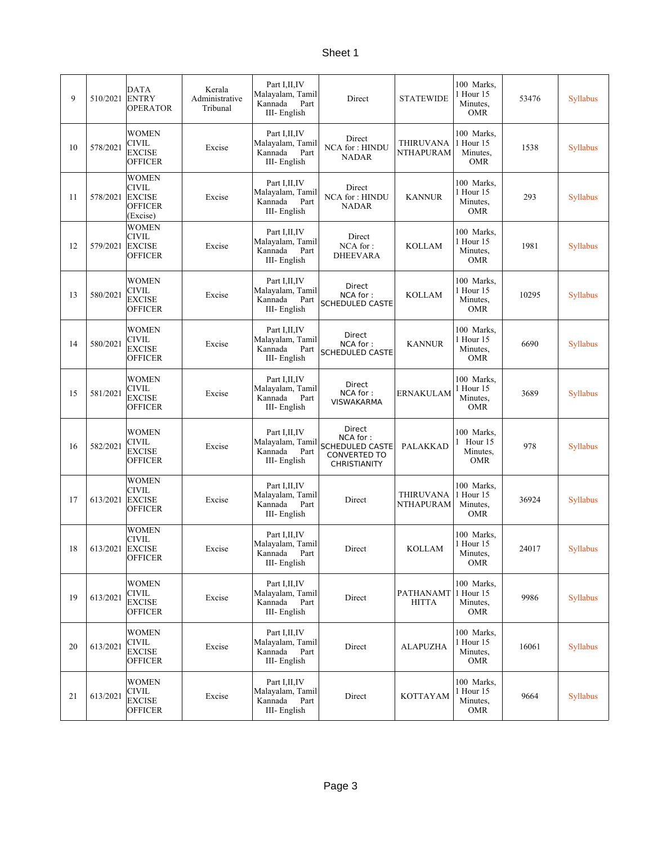| 9  | 510/2021 | DATA<br><b>ENTRY</b><br>OPERATOR                         | Kerala<br>Administrative<br>Tribunal | Part I, II, IV<br>Malayalam, Tamil<br>Kannada<br>Part<br>III-English  | Direct                                                                              | <b>STATEWIDE</b>                     | 100 Marks,<br>1 Hour 15<br>Minutes,<br><b>OMR</b> | 53476 | Syllabus        |
|----|----------|----------------------------------------------------------|--------------------------------------|-----------------------------------------------------------------------|-------------------------------------------------------------------------------------|--------------------------------------|---------------------------------------------------|-------|-----------------|
| 10 | 578/2021 | WOMEN<br>CIVIL<br>EXCISE<br>OFFICER                      | Excise                               | Part I, II, IV<br>Malayalam, Tamil<br>Kannada<br>Part<br>III-English  | Direct<br><b>NCA for: HINDU</b><br><b>NADAR</b>                                     | <b>THIRUVANA</b><br><b>NTHAPURAM</b> | 100 Marks,<br>1 Hour 15<br>Minutes,<br>OMR        | 1538  | <b>Syllabus</b> |
| 11 | 578/2021 | WOMEN<br>CIVIL<br><b>EXCISE</b><br>OFFICER<br>(Excise)   | Excise                               | Part I, II, IV<br>Malayalam, Tamil<br>Part<br>Kannada<br>III-English  | Direct<br><b>NCA for: HINDU</b><br><b>NADAR</b>                                     | <b>KANNUR</b>                        | 100 Marks,<br>1 Hour 15<br>Minutes,<br><b>OMR</b> | 293   | <b>Syllabus</b> |
| 12 | 579/2021 | <b>WOMEN</b><br>CIVIL<br><b>EXCISE</b><br><b>OFFICER</b> | Excise                               | Part I, II, IV<br>Malayalam, Tamil<br>Kannada<br>Part<br>III- English | Direct<br>NCA for:<br><b>DHEEVARA</b>                                               | <b>KOLLAM</b>                        | 100 Marks.<br>1 Hour 15<br>Minutes,<br><b>OMR</b> | 1981  | <b>Syllabus</b> |
| 13 | 580/2021 | <b>WOMEN</b><br>CIVIL<br>EXCISE<br><b>OFFICER</b>        | Excise                               | Part I, II, IV<br>Malayalam, Tamil<br>Kannada<br>Part<br>III-English  | Direct<br>NCA for:<br>SCHEDULED CASTE                                               | <b>KOLLAM</b>                        | 100 Marks.<br>1 Hour 15<br>Minutes,<br><b>OMR</b> | 10295 | Syllabus        |
| 14 | 580/2021 | WOMEN<br>CIVIL<br>EXCISE<br><b>OFFICER</b>               | Excise                               | Part I, II, IV<br>Malayalam, Tamil<br>Kannada<br>Part<br>III-English  | Direct<br>NCA for:<br>SCHEDULED CASTE                                               | <b>KANNUR</b>                        | 100 Marks,<br>1 Hour 15<br>Minutes,<br><b>OMR</b> | 6690  | <b>Syllabus</b> |
| 15 | 581/2021 | WOMEN<br>CIVIL<br>EXCISE<br>OFFICER                      | Excise                               | Part I, II, IV<br>Malayalam, Tamil<br>Kannada<br>Part<br>III- English | Direct<br>NCA for:<br>VISWAKARMA                                                    | <b>ERNAKULAM</b>                     | 100 Marks,<br>1 Hour 15<br>Minutes,<br>OMR        | 3689  | Syllabus        |
| 16 | 582/2021 | WOMEN<br>CIVIL<br>EXCISE<br>OFFICER                      | Excise                               | Part I, II, IV<br>Malayalam, Tamil<br>Kannada<br>Part<br>III- English | Direct<br>NCA for:<br>SCHEDULED CASTE<br><b>CONVERTED TO</b><br><b>CHRISTIANITY</b> | PALAKKAD                             | 100 Marks,<br>1 Hour 15<br>Minutes,<br><b>OMR</b> | 978   | Syllabus        |
| 17 | 613/2021 | WOMEN<br>CIVIL<br><b>EXCISE</b><br>OFFICER               | Excise                               | Part I, II, IV<br>Malayalam, Tamil<br>Kannada<br>Part<br>III-English  | Direct                                                                              | <b>THIRUVANA</b><br><b>NTHAPURAM</b> | 100 Marks,<br>1 Hour 15<br>Minutes,<br><b>OMR</b> | 36924 | Syllabus        |
| 18 | 613/2021 | WOMEN<br>CIVIL<br><b>EXCISE</b><br><b>OFFICER</b>        | Excise                               | Part I, II, IV<br>Malayalam, Tamil<br>Kannada<br>Part<br>III- English | Direct                                                                              | KOLLAM                               | 100 Marks,<br>1 Hour 15<br>Minutes,<br><b>OMR</b> | 24017 | <b>Syllabus</b> |
| 19 | 613/2021 | WOMEN<br>CIVIL<br><b>EXCISE</b><br><b>OFFICER</b>        | Excise                               | Part I, II, IV<br>Malayalam, Tamil<br>Kannada<br>Part<br>III- English | Direct                                                                              | PATHANAMT<br><b>HITTA</b>            | 100 Marks,<br>1 Hour 15<br>Minutes,<br>OMR        | 9986  | Syllabus        |
| 20 | 613/2021 | <b>WOMEN</b><br>CIVIL<br><b>EXCISE</b><br>OFFICER        | Excise                               | Part I, II, IV<br>Malayalam, Tamil<br>Kannada<br>Part<br>III-English  | Direct                                                                              | <b>ALAPUZHA</b>                      | 100 Marks,<br>1 Hour 15<br>Minutes,<br>OMR        | 16061 | <b>Syllabus</b> |
| 21 | 613/2021 | <b>WOMEN</b><br>CIVIL<br><b>EXCISE</b><br><b>OFFICER</b> | Excise                               | Part I, II, IV<br>Malayalam, Tamil<br>Kannada<br>Part<br>III-English  | Direct                                                                              | <b>KOTTAYAM</b>                      | 100 Marks,<br>1 Hour 15<br>Minutes,<br>OMR        | 9664  | Syllabus        |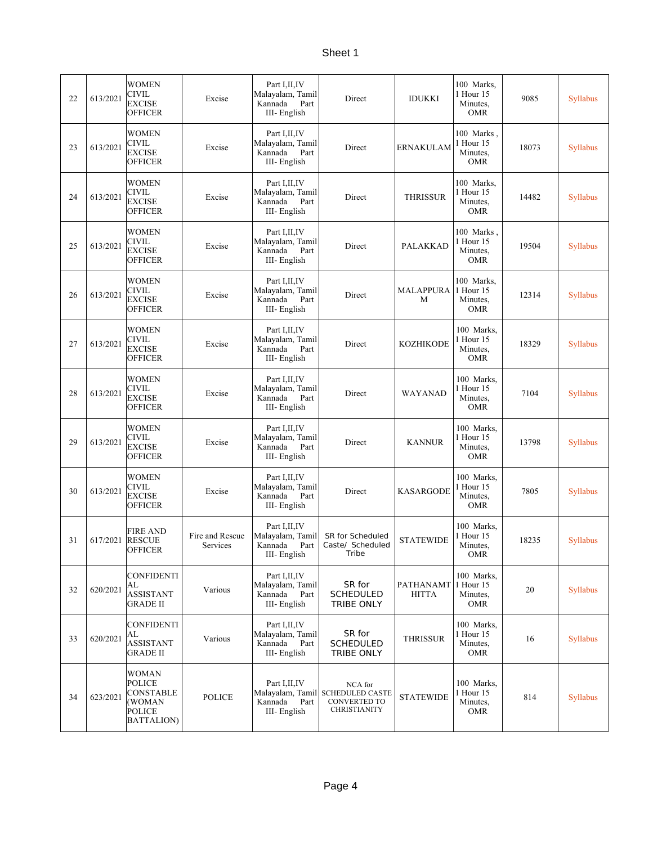| 22 | 613/2021 | <b>WOMEN</b><br><b>CIVIL</b><br><b>EXCISE</b><br><b>OFFICER</b>                     | Excise                      | Part I, II, IV<br>Malayalam, Tamil<br>Kannada<br>Part<br>III-English  | Direct                                                                                    | <b>IDUKKI</b>             | 100 Marks,<br>1 Hour 15<br>Minutes,<br><b>OMR</b> | 9085  | <b>Syllabus</b> |
|----|----------|-------------------------------------------------------------------------------------|-----------------------------|-----------------------------------------------------------------------|-------------------------------------------------------------------------------------------|---------------------------|---------------------------------------------------|-------|-----------------|
| 23 | 613/2021 | WOMEN<br><b>CIVIL</b><br><b>EXCISE</b><br><b>OFFICER</b>                            | Excise                      | Part I,II,IV<br>Malayalam, Tamil<br>Kannada<br>Part<br>III-English    | Direct                                                                                    | <b>ERNAKULAM</b>          | 100 Marks,<br>1 Hour 15<br>Minutes,<br><b>OMR</b> | 18073 | <b>Syllabus</b> |
| 24 | 613/2021 | WOMEN<br><b>CIVIL</b><br><b>EXCISE</b><br><b>OFFICER</b>                            | Excise                      | Part I, II, IV<br>Malayalam, Tamil<br>Part<br>Kannada<br>III-English  | Direct                                                                                    | <b>THRISSUR</b>           | 100 Marks,<br>1 Hour 15<br>Minutes.<br><b>OMR</b> | 14482 | Syllabus        |
| 25 | 613/2021 | WOMEN<br>CIVIL<br><b>EXCISE</b><br><b>OFFICER</b>                                   | Excise                      | Part I, II, IV<br>Malayalam, Tamil<br>Kannada<br>Part<br>III- English | Direct                                                                                    | PALAKKAD                  | 100 Marks.<br>1 Hour 15<br>Minutes,<br>OMR        | 19504 | <b>Syllabus</b> |
| 26 | 613/2021 | WOMEN<br><b>CIVIL</b><br><b>EXCISE</b><br><b>OFFICER</b>                            | Excise                      | Part I, II, IV<br>Malayalam, Tamil<br>Kannada<br>Part<br>III-English  | Direct                                                                                    | <b>MALAPPURA</b><br>М     | 100 Marks.<br>1 Hour 15<br>Minutes,<br><b>OMR</b> | 12314 | Syllabus        |
| 27 | 613/2021 | <b>WOMEN</b><br>CIVIL<br><b>EXCISE</b><br><b>OFFICER</b>                            | Excise                      | Part I, II, IV<br>Malayalam, Tamil<br>Kannada<br>Part<br>III-English  | Direct                                                                                    | <b>KOZHIKODE</b>          | 100 Marks,<br>1 Hour 15<br>Minutes,<br><b>OMR</b> | 18329 | <b>Syllabus</b> |
| 28 | 613/2021 | <b>WOMEN</b><br>CIVIL<br><b>EXCISE</b><br><b>OFFICER</b>                            | Excise                      | Part I, II, IV<br>Malayalam, Tamil<br>Kannada<br>Part<br>III- English | Direct                                                                                    | WAYANAD                   | 100 Marks,<br>1 Hour 15<br>Minutes,<br><b>OMR</b> | 7104  | <b>Syllabus</b> |
| 29 | 613/2021 | <b>WOMEN</b><br><b>CIVIL</b><br><b>EXCISE</b><br><b>OFFICER</b>                     | Excise                      | Part I,II,IV<br>Malayalam, Tamil<br>Part<br>Kannada<br>III-English    | Direct                                                                                    | <b>KANNUR</b>             | 100 Marks,<br>1 Hour 15<br>Minutes,<br><b>OMR</b> | 13798 | Syllabus        |
| 30 | 613/2021 | WOMEN<br>CIVIL<br><b>EXCISE</b><br><b>OFFICER</b>                                   | Excise                      | Part I, II, IV<br>Malayalam, Tamil<br>Kannada<br>Part<br>III-English  | Direct                                                                                    | <b>KASARGODE</b>          | 100 Marks,<br>1 Hour 15<br>Minutes,<br><b>OMR</b> | 7805  | Syllabus        |
| 31 | 617/2021 | <b>FIRE AND</b><br><b>RESCUE</b><br><b>OFFICER</b>                                  | Fire and Rescue<br>Services | Part I, II, IV<br>Malayalam, Tamil<br>Kannada<br>Part<br>III- English | SR for Scheduled<br>Caste/ Scheduled<br><b>I</b> ribe                                     | <b>STATEWIDE</b>          | 100 Marks,<br>1 Hour 15<br>Minutes,<br>OMR        | 18235 | <b>Syllabus</b> |
| 32 | 620/2021 | <b>CONFIDENTI</b><br>AL<br><b>ASSISTANT</b><br><b>GRADE II</b>                      | Various                     | Part I, II, IV<br>Malayalam, Tamil<br>Kannada<br>Part<br>III-English  | SR for<br><b>SCHEDULED</b><br>TRIBE ONLY                                                  | PATHANAMT<br><b>HITTA</b> | 100 Marks,<br>1 Hour 15<br>Minutes,<br><b>OMR</b> | 20    | <b>Syllabus</b> |
| 33 | 620/2021 | <b>CONFIDENTI</b><br>AL<br><b>ASSISTANT</b><br><b>GRADE II</b>                      | Various                     | Part I, II, IV<br>Malayalam, Tamil<br>Kannada<br>Part<br>III-English  | SR for<br><b>SCHEDULED</b><br>TRIBE ONLY                                                  | <b>THRISSUR</b>           | 100 Marks,<br>1 Hour 15<br>Minutes,<br><b>OMR</b> | 16    | Syllabus        |
| 34 | 623/2021 | <b>WOMAN</b><br><b>POLICE</b><br><b>CONSTABLE</b><br>(WOMAN<br>POLICE<br>BATTALION) | <b>POLICE</b>               | Part I, II, IV<br>Kannada<br>Part<br>III- English                     | NCA for<br>Malayalam, Tamil SCHEDULED CASTE<br><b>CONVERTED TO</b><br><b>CHRISTIANITY</b> | <b>STATEWIDE</b>          | 100 Marks.<br>1 Hour 15<br>Minutes,<br>OMR        | 814   | <b>Syllabus</b> |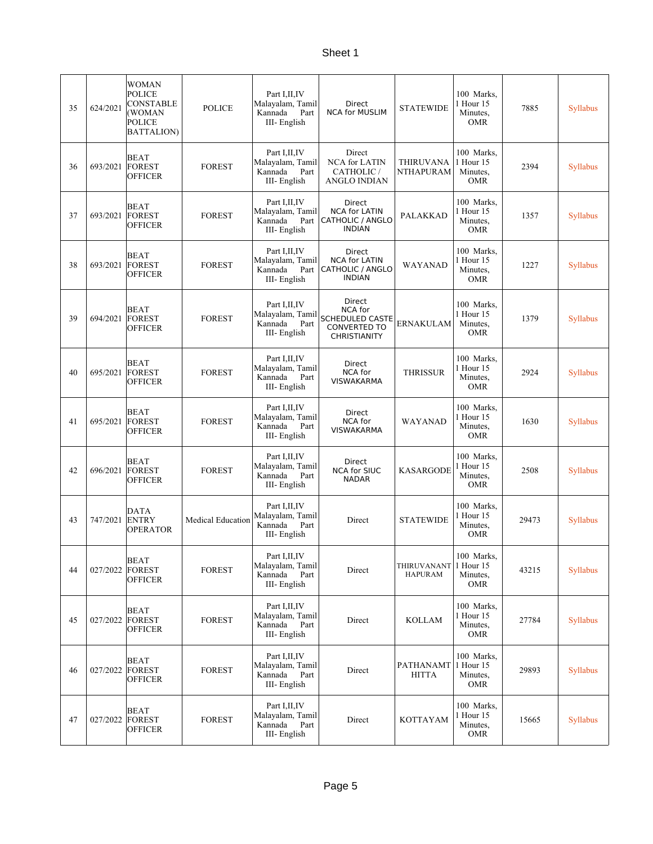| 35 | 624/2021 | <b>WOMAN</b><br><b>POLICE</b><br><b>CONSTABLE</b><br>(WOMAN<br><b>POLICE</b><br><b>BATTALION</b> ) | <b>POLICE</b>            | Part I, II, IV<br>Malayalam, Tamil<br>Kannada<br>Part<br>III-English  | Direct<br><b>NCA for MUSLIM</b>                                                           | <b>STATEWIDE</b>                     | 100 Marks.<br>1 Hour 15<br>Minutes,<br><b>OMR</b> | 7885  | Syllabus        |
|----|----------|----------------------------------------------------------------------------------------------------|--------------------------|-----------------------------------------------------------------------|-------------------------------------------------------------------------------------------|--------------------------------------|---------------------------------------------------|-------|-----------------|
| 36 | 693/2021 | <b>BEAT</b><br><b>FOREST</b><br><b>OFFICER</b>                                                     | <b>FOREST</b>            | Part I, II, IV<br>Malayalam, Tamil<br>Part<br>Kannada<br>III-English  | Direct<br><b>NCA</b> for LATIN<br>CATHOLIC /<br>ANGLO INDIAN                              | <b>THIRUVANA</b><br><b>NTHAPURAM</b> | 100 Marks,<br>1 Hour 15<br>Minutes,<br><b>OMR</b> | 2394  | <b>Syllabus</b> |
| 37 | 693/2021 | <b>BEAT</b><br><b>FOREST</b><br><b>OFFICER</b>                                                     | <b>FOREST</b>            | Part I, II, IV<br>Malayalam, Tamil<br>Kannada<br>Part<br>III-English  | Direct<br><b>NCA for LATIN</b><br><b>CATHOLIC / ANGLO</b><br><b>INDIAN</b>                | <b>PALAKKAD</b>                      | 100 Marks,<br>1 Hour 15<br>Minutes,<br><b>OMR</b> | 1357  | Syllabus        |
| 38 | 693/2021 | <b>BEAT</b><br><b>FOREST</b><br><b>OFFICER</b>                                                     | <b>FOREST</b>            | Part I, II, IV<br>Malayalam, Tamil<br>Kannada<br>Part<br>III-English  | Direct<br><b>NCA for LATIN</b><br><b>CATHOLIC / ANGLO</b><br><b>INDIAN</b>                | <b>WAYANAD</b>                       | 100 Marks,<br>1 Hour 15<br>Minutes,<br><b>OMR</b> | 1227  | Syllabus        |
| 39 | 694/2021 | <b>BEAT</b><br><b>FOREST</b><br><b>OFFICER</b>                                                     | <b>FOREST</b>            | Part I, II, IV<br>Malayalam, Tamil<br>Part<br>Kannada<br>III- English | Direct<br>NCA for<br><b>SCHEDULED CASTE</b><br><b>CONVERTED TO</b><br><b>CHRISTIANITY</b> | ERNAKULAM                            | 100 Marks.<br>1 Hour 15<br>Minutes,<br><b>OMR</b> | 1379  | <b>Syllabus</b> |
| 40 | 695/2021 | <b>BEAT</b><br><b>FOREST</b><br><b>OFFICER</b>                                                     | <b>FOREST</b>            | Part I, II, IV<br>Malayalam, Tamil<br>Kannada<br>Part<br>III-English  | <b>Direct</b><br>NCA for<br><b>VISWAKARMA</b>                                             | <b>THRISSUR</b>                      | 100 Marks,<br>1 Hour 15<br>Minutes,<br><b>OMR</b> | 2924  | Syllabus        |
| 41 | 695/2021 | <b>BEAT</b><br><b>FOREST</b><br><b>OFFICER</b>                                                     | <b>FOREST</b>            | Part I, II, IV<br>Malayalam, Tamil<br>Kannada<br>Part<br>III- English | Direct<br>NCA for<br>VISWAKARMA                                                           | WAYANAD                              | 100 Marks,<br>1 Hour 15<br>Minutes,<br><b>OMR</b> | 1630  | <b>Syllabus</b> |
| 42 | 696/2021 | <b>BEAT</b><br><b>FOREST</b><br><b>OFFICER</b>                                                     | <b>FOREST</b>            | Part I, II, IV<br>Malayalam, Tamil<br>Kannada<br>Part<br>III-English  | Direct<br><b>NCA for SIUC</b><br><b>NADAR</b>                                             | <b>KASARGODE</b>                     | 100 Marks,<br>1 Hour 15<br>Minutes,<br><b>OMR</b> | 2508  | <b>Syllabus</b> |
| 43 | 747/2021 | <b>DATA</b><br><b>ENTRY</b><br><b>OPERATOR</b>                                                     | <b>Medical Education</b> | Part I, II, IV<br>Malayalam, Tamil<br>Kannada<br>Part<br>III-English  | Direct                                                                                    | <b>STATEWIDE</b>                     | 100 Marks,<br>1 Hour 15<br>Minutes,<br><b>OMR</b> | 29473 | <b>Syllabus</b> |
| 44 | 027/2022 | <b>BEAT</b><br><b>FOREST</b><br><b>OFFICER</b>                                                     | <b>FOREST</b>            | Part I, II, IV<br>Malayalam, Tamil<br>Kannada<br>Part<br>III- English | Direct                                                                                    | THIRUVANANT<br><b>HAPURAM</b>        | 100 Marks,<br>1 Hour 15<br>Minutes,<br><b>OMR</b> | 43215 | Syllabus        |
| 45 | 027/2022 | BEAT<br><b>FOREST</b><br><b>OFFICER</b>                                                            | <b>FOREST</b>            | Part I, II, IV<br>Malayalam, Tamil<br>Kannada<br>Part<br>III-English  | Direct                                                                                    | <b>KOLLAM</b>                        | 100 Marks.<br>1 Hour 15<br>Minutes,<br><b>OMR</b> | 27784 | <b>Syllabus</b> |
| 46 | 027/2022 | <b>BEAT</b><br><b>FOREST</b><br><b>OFFICER</b>                                                     | <b>FOREST</b>            | Part I, II, IV<br>Malayalam, Tamil<br>Kannada<br>Part<br>III- English | Direct                                                                                    | PATHANAMT<br><b>HITTA</b>            | 100 Marks,<br>1 Hour 15<br>Minutes,<br><b>OMR</b> | 29893 | <b>Syllabus</b> |
| 47 | 027/2022 | <b>BEAT</b><br><b>FOREST</b><br><b>OFFICER</b>                                                     | <b>FOREST</b>            | Part I, II, IV<br>Malayalam, Tamil<br>Kannada<br>Part<br>III- English | Direct                                                                                    | <b>KOTTAYAM</b>                      | 100 Marks,<br>1 Hour 15<br>Minutes,<br><b>OMR</b> | 15665 | Syllabus        |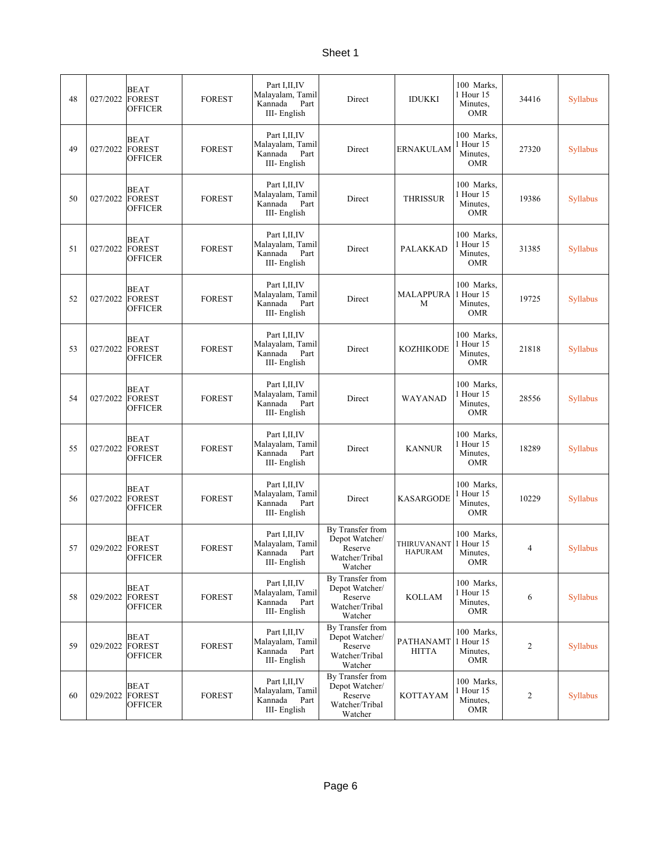| 48 | 027/2022 | <b>BEAT</b><br>FOREST<br><b>OFFICER</b>        | <b>FOREST</b> | Part I, II, IV<br>Malayalam, Tamil<br>Kannada<br>Part<br>III-English  | Direct                                                                     | <b>IDUKKI</b>                                      | 100 Marks,<br>1 Hour 15<br>Minutes,<br><b>OMR</b> | 34416 | <b>Syllabus</b> |
|----|----------|------------------------------------------------|---------------|-----------------------------------------------------------------------|----------------------------------------------------------------------------|----------------------------------------------------|---------------------------------------------------|-------|-----------------|
| 49 | 027/2022 | <b>BEAT</b><br>FOREST<br>OFFICER               | <b>FOREST</b> | Part I, II, IV<br>Malayalam, Tamil<br>Part<br>Kannada<br>III-English  | Direct                                                                     | <b>ERNAKULAM</b>                                   | 100 Marks.<br>1 Hour 15<br>Minutes,<br><b>OMR</b> | 27320 | <b>Syllabus</b> |
| 50 | 027/2022 | BEAT<br>FOREST<br><b>OFFICER</b>               | <b>FOREST</b> | Part I, II, IV<br>Malayalam, Tamil<br>Kannada<br>Part<br>III-English  | Direct                                                                     | <b>THRISSUR</b>                                    | 100 Marks,<br>1 Hour 15<br>Minutes,<br><b>OMR</b> | 19386 | <b>Syllabus</b> |
| 51 | 027/2022 | BEAT<br><b>FOREST</b><br><b>OFFICER</b>        | <b>FOREST</b> | Part I, II, IV<br>Malayalam, Tamil<br>Kannada<br>Part<br>III-English  | Direct                                                                     | PALAKKAD                                           | 100 Marks,<br>1 Hour 15<br>Minutes,<br><b>OMR</b> | 31385 | Syllabus        |
| 52 | 027/2022 | <b>BEAT</b><br><b>FOREST</b><br>OFFICER        | <b>FOREST</b> | Part I, II, IV<br>Malayalam, Tamil<br>Kannada<br>Part<br>III-English  | Direct                                                                     | <b>MALAPPURA</b><br>M                              | 100 Marks,<br>1 Hour 15<br>Minutes,<br><b>OMR</b> | 19725 | Syllabus        |
| 53 | 027/2022 | <b>BEAT</b><br>FOREST<br>OFFICER               | <b>FOREST</b> | Part I, II, IV<br>Malayalam, Tamil<br>Kannada<br>Part<br>III-English  | Direct                                                                     | <b>KOZHIKODE</b>                                   | 100 Marks,<br>1 Hour 15<br>Minutes,<br><b>OMR</b> | 21818 | <b>Syllabus</b> |
| 54 | 027/2022 | <b>BEAT</b><br><b>FOREST</b><br>OFFICER        | <b>FOREST</b> | Part I, II, IV<br>Malayalam, Tamil<br>Kannada<br>Part<br>III-English  | Direct                                                                     | WAYANAD                                            | 100 Marks.<br>1 Hour 15<br>Minutes,<br><b>OMR</b> | 28556 | Syllabus        |
| 55 | 027/2022 | BEAT<br>FOREST<br>OFFICER                      | <b>FOREST</b> | Part I, II, IV<br>Malayalam, Tamil<br>Kannada<br>Part<br>III-English  | Direct                                                                     | <b>KANNUR</b>                                      | 100 Marks,<br>1 Hour 15<br>Minutes,<br><b>OMR</b> | 18289 | <b>Syllabus</b> |
| 56 | 027/2022 | <b>BEAT</b><br>FOREST<br>OFFICER               | <b>FOREST</b> | Part I, II, IV<br>Malayalam, Tamil<br>Kannada<br>Part<br>III-English  | Direct                                                                     | <b>KASARGODE</b>                                   | 100 Marks.<br>1 Hour 15<br>Minutes,<br>OMR        | 10229 | Syllabus        |
| 57 | 029/2022 | <b>BEAT</b><br><b>FOREST</b><br><b>OFFICER</b> | <b>FOREST</b> | Part I, II, IV<br>Malayalam, Tamil<br>Kannada Part<br>III- English    | By Transfer from<br>Depot Watcher/<br>Reserve<br>Watcher/Tribal<br>Watcher | THIRUVANANT <sup>1</sup> Hour 15<br><b>HAPURAM</b> | 100 Marks,<br>Minutes,<br><b>OMR</b>              | 4     | <b>Syllabus</b> |
| 58 | 029/2022 | <b>BEAT</b><br><b>FOREST</b><br><b>OFFICER</b> | <b>FOREST</b> | Part I, II, IV<br>Malayalam, Tamil<br>Kannada<br>Part<br>III- English | By Transfer from<br>Depot Watcher/<br>Reserve<br>Watcher/Tribal<br>Watcher | <b>KOLLAM</b>                                      | 100 Marks,<br>1 Hour 15<br>Minutes,<br>OMR        | 6     | <b>Syllabus</b> |
| 59 | 029/2022 | BEAT<br><b>FOREST</b><br>OFFICER               | <b>FOREST</b> | Part I, II, IV<br>Malayalam, Tamil<br>Kannada<br>Part<br>III- English | By Transfer from<br>Depot Watcher/<br>Reserve<br>Watcher/Tribal<br>Watcher | PATHANAMT<br><b>HITTA</b>                          | 100 Marks,<br>1 Hour 15<br>Minutes.<br>OMR        | 2     | <b>Syllabus</b> |
| 60 | 029/2022 | <b>BEAT</b><br><b>FOREST</b><br>OFFICER        | <b>FOREST</b> | Part I, II, IV<br>Malayalam, Tamil<br>Kannada<br>Part<br>III- English | By Transfer from<br>Depot Watcher/<br>Reserve<br>Watcher/Tribal<br>Watcher | KOTTAYAM                                           | 100 Marks,<br>1 Hour 15<br>Minutes,<br>OMR        | 2     | <b>Syllabus</b> |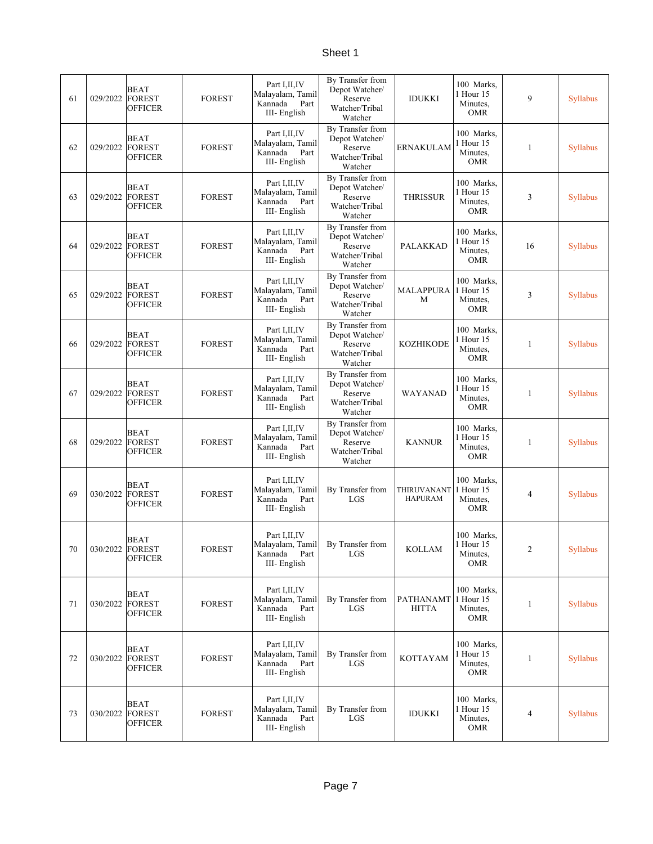| 61 | 029/2022        | <b>BEAT</b><br><b>FOREST</b><br><b>OFFICER</b> | <b>FOREST</b> | Part I, II, IV<br>Malayalam, Tamil<br>Kannada<br>Part<br>III-English  | By Transfer from<br>Depot Watcher/<br>Reserve<br>Watcher/Tribal<br>Watcher | IDUKKI                           | 100 Marks,<br>1 Hour 15<br>Minutes.<br><b>OMR</b> | 9              | <b>Syllabus</b> |
|----|-----------------|------------------------------------------------|---------------|-----------------------------------------------------------------------|----------------------------------------------------------------------------|----------------------------------|---------------------------------------------------|----------------|-----------------|
| 62 | 029/2022        | <b>BEAT</b><br><b>FOREST</b><br><b>OFFICER</b> | <b>FOREST</b> | Part I, II, IV<br>Malayalam, Tamil<br>Kannada<br>Part<br>III-English  | By Transfer from<br>Depot Watcher/<br>Reserve<br>Watcher/Tribal<br>Watcher | <b>ERNAKULAM</b>                 | 100 Marks.<br>1 Hour 15<br>Minutes,<br><b>OMR</b> | 1              | <b>Syllabus</b> |
| 63 | 029/2022        | <b>BEAT</b><br><b>FOREST</b><br><b>OFFICER</b> | <b>FOREST</b> | Part I, II, IV<br>Malayalam, Tamil<br>Kannada<br>Part<br>III-English  | By Transfer from<br>Depot Watcher/<br>Reserve<br>Watcher/Tribal<br>Watcher | <b>THRISSUR</b>                  | 100 Marks,<br>1 Hour 15<br>Minutes,<br><b>OMR</b> | 3              | <b>Syllabus</b> |
| 64 | 029/2022        | <b>BEAT</b><br><b>FOREST</b><br><b>OFFICER</b> | <b>FOREST</b> | Part I, II, IV<br>Malayalam, Tamil<br>Kannada<br>Part<br>III-English  | By Transfer from<br>Depot Watcher/<br>Reserve<br>Watcher/Tribal<br>Watcher | <b>PALAKKAD</b>                  | 100 Marks,<br>1 Hour 15<br>Minutes,<br><b>OMR</b> | 16             | <b>Syllabus</b> |
| 65 | 029/2022        | BEAT<br><b>FOREST</b><br><b>OFFICER</b>        | <b>FOREST</b> | Part I, II, IV<br>Malayalam, Tamil<br>Kannada<br>Part<br>III- English | By Transfer from<br>Depot Watcher/<br>Reserve<br>Watcher/Tribal<br>Watcher | <b>MALAPPURA</b><br>M            | 100 Marks,<br>1 Hour 15<br>Minutes,<br><b>OMR</b> | 3              | <b>Syllabus</b> |
| 66 | 029/2022        | <b>BEAT</b><br>FOREST<br><b>OFFICER</b>        | <b>FOREST</b> | Part I, II, IV<br>Malayalam, Tamil<br>Kannada<br>Part<br>III-English  | By Transfer from<br>Depot Watcher/<br>Reserve<br>Watcher/Tribal<br>Watcher | <b>KOZHIKODE</b>                 | 100 Marks,<br>1 Hour 15<br>Minutes.<br><b>OMR</b> | 1              | <b>Syllabus</b> |
| 67 | 029/2022        | <b>BEAT</b><br><b>FOREST</b><br><b>OFFICER</b> | <b>FOREST</b> | Part I, II, IV<br>Malayalam, Tamil<br>Kannada<br>Part<br>III-English  | By Transfer from<br>Depot Watcher/<br>Reserve<br>Watcher/Tribal<br>Watcher | WAYANAD                          | 100 Marks,<br>1 Hour 15<br>Minutes,<br><b>OMR</b> | 1              | <b>Syllabus</b> |
| 68 | 029/2022        | <b>BEAT</b><br><b>FOREST</b><br><b>OFFICER</b> | <b>FOREST</b> | Part I, II, IV<br>Malayalam, Tamil<br>Kannada<br>Part<br>III- English | By Transfer from<br>Depot Watcher/<br>Reserve<br>Watcher/Tribal<br>Watcher | <b>KANNUR</b>                    | 100 Marks,<br>1 Hour 15<br>Minutes,<br><b>OMR</b> | 1              | Syllabus        |
| 69 | 030/2022        | <b>BEAT</b><br><b>FOREST</b><br><b>OFFICER</b> | <b>FOREST</b> | Part I, II, IV<br>Malayalam, Tamil<br>Kannada<br>Part<br>III- English | By Transfer from<br>LGS                                                    | THIRUVANANT<br><b>HAPURAM</b>    | 100 Marks,<br>1 Hour 15<br>Minutes,<br><b>OMR</b> | 4              | Syllabus        |
| 70 | 030/2022 FOREST | <b>BEAT</b><br><b>OFFICER</b>                  | <b>FOREST</b> | Part I, II, IV<br>Malayalam, Tamil<br>Part<br>Kannada<br>III-English  | By Transfer from<br>$_{\rm LGS}$                                           | <b>KOLLAM</b>                    | 100 Marks.<br>1 Hour 15<br>Minutes,<br><b>OMR</b> | $\overline{c}$ | Syllabus        |
| 71 | 030/2022        | <b>BEAT</b><br><b>FOREST</b><br>OFFICER        | <b>FOREST</b> | Part I, II, IV<br>Malayalam, Tamil<br>Kannada<br>Part<br>III-English  | By Transfer from<br>LGS                                                    | <b>PATHANAMT</b><br><b>HITTA</b> | 100 Marks,<br>1 Hour 15<br>Minutes,<br><b>OMR</b> | 1              | Syllabus        |
| 72 | 030/2022        | <b>BEAT</b><br><b>FOREST</b><br><b>OFFICER</b> | <b>FOREST</b> | Part I, II, IV<br>Malayalam, Tamil<br>Kannada<br>Part<br>III-English  | By Transfer from<br>LGS                                                    | <b>KOTTAYAM</b>                  | 100 Marks.<br>1 Hour 15<br>Minutes.<br><b>OMR</b> | 1              | Syllabus        |
| 73 | 030/2022        | BEAT<br><b>FOREST</b><br><b>OFFICER</b>        | <b>FOREST</b> | Part I, II, IV<br>Malayalam, Tamil<br>Kannada<br>Part<br>III-English  | By Transfer from<br>LGS                                                    | <b>IDUKKI</b>                    | 100 Marks,<br>1 Hour 15<br>Minutes,<br><b>OMR</b> | 4              | Syllabus        |